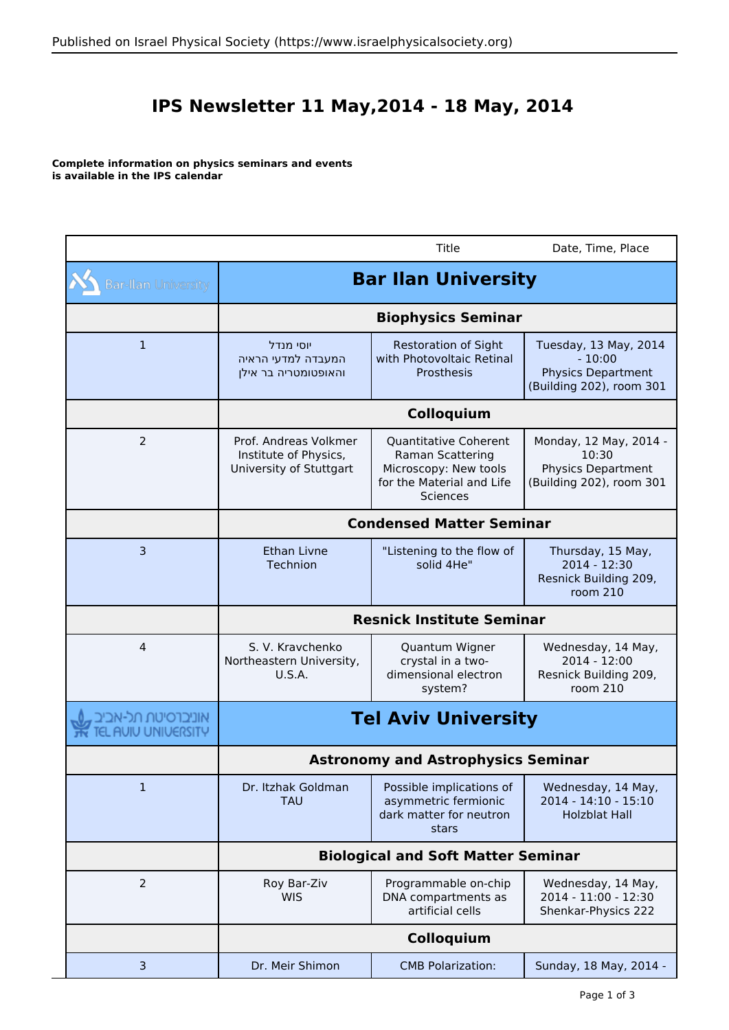## **IPS Newsletter 11 May,2014 - 18 May, 2014**

**Complete information on physics seminars and events is available in the IPS calendar**

|                            |                                                                           | Title                                                                                                                     | Date, Time, Place                                                                          |  |
|----------------------------|---------------------------------------------------------------------------|---------------------------------------------------------------------------------------------------------------------------|--------------------------------------------------------------------------------------------|--|
| <b>Bar-Ilan University</b> | <b>Bar Ilan University</b>                                                |                                                                                                                           |                                                                                            |  |
|                            | <b>Biophysics Seminar</b>                                                 |                                                                                                                           |                                                                                            |  |
| $\mathbf{1}$               | יוסי מנדל<br>המעבדה למדעי הראיה<br>והאופטומטריה בר אילן                   | <b>Restoration of Sight</b><br>with Photovoltaic Retinal<br>Prosthesis                                                    | Tuesday, 13 May, 2014<br>$-10:00$<br><b>Physics Department</b><br>(Building 202), room 301 |  |
|                            | Colloquium                                                                |                                                                                                                           |                                                                                            |  |
| $\overline{2}$             | Prof. Andreas Volkmer<br>Institute of Physics,<br>University of Stuttgart | Quantitative Coherent<br><b>Raman Scattering</b><br>Microscopy: New tools<br>for the Material and Life<br><b>Sciences</b> | Monday, 12 May, 2014 -<br>10:30<br><b>Physics Department</b><br>(Building 202), room 301   |  |
|                            | <b>Condensed Matter Seminar</b>                                           |                                                                                                                           |                                                                                            |  |
| $\overline{3}$             | Ethan Livne<br>Technion                                                   | "Listening to the flow of<br>solid 4He"                                                                                   | Thursday, 15 May,<br>2014 - 12:30<br>Resnick Building 209,<br>room 210                     |  |
|                            | <b>Resnick Institute Seminar</b>                                          |                                                                                                                           |                                                                                            |  |
| 4                          | S. V. Kravchenko<br>Northeastern University,<br><b>U.S.A.</b>             | Quantum Wigner<br>crystal in a two-<br>dimensional electron<br>system?                                                    | Wednesday, 14 May,<br>2014 - 12:00<br>Resnick Building 209,<br>room 210                    |  |
| <b>AUIU UNIUERSITY</b>     | <b>Tel Aviv University</b><br><b>Astronomy and Astrophysics Seminar</b>   |                                                                                                                           |                                                                                            |  |
|                            |                                                                           |                                                                                                                           |                                                                                            |  |
| 1                          | Dr. Itzhak Goldman<br><b>TAU</b>                                          | Possible implications of<br>asymmetric fermionic<br>dark matter for neutron<br>stars                                      | Wednesday, 14 May,<br>2014 - 14:10 - 15:10<br><b>Holzblat Hall</b>                         |  |
|                            | <b>Biological and Soft Matter Seminar</b>                                 |                                                                                                                           |                                                                                            |  |
| $\overline{2}$             | Roy Bar-Ziv<br><b>WIS</b>                                                 | Programmable on-chip<br>DNA compartments as<br>artificial cells                                                           | Wednesday, 14 May,<br>2014 - 11:00 - 12:30<br>Shenkar-Physics 222                          |  |
|                            | Colloquium                                                                |                                                                                                                           |                                                                                            |  |
| 3                          | Dr. Meir Shimon                                                           | <b>CMB Polarization:</b>                                                                                                  | Sunday, 18 May, 2014 -                                                                     |  |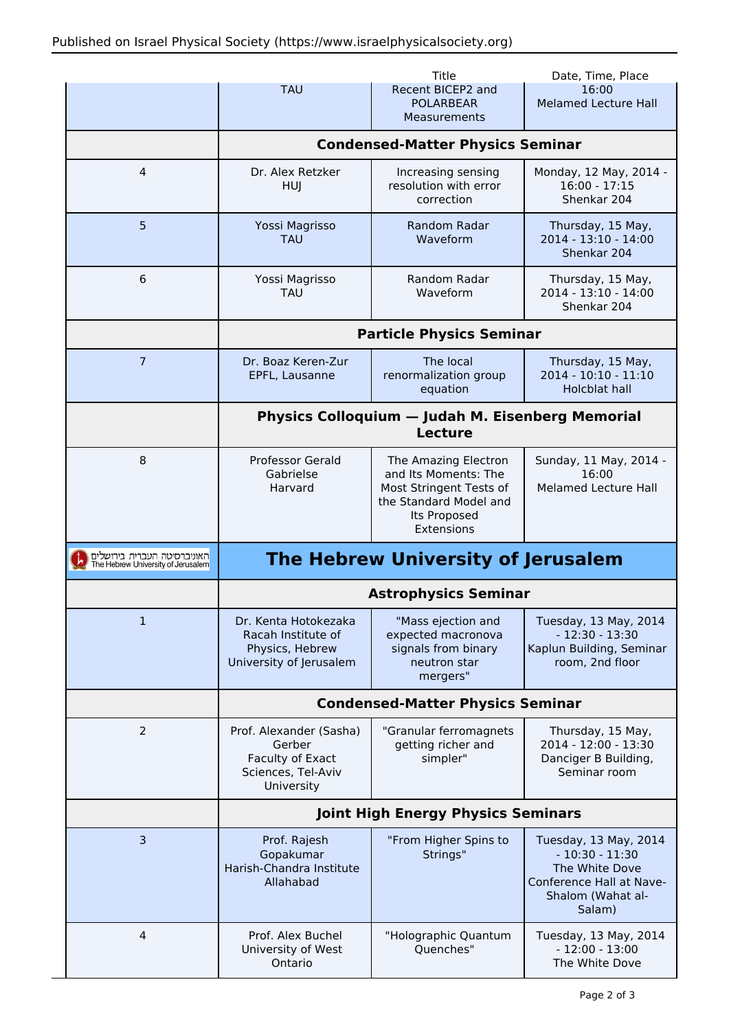|                                                                   |                                                                                           | Title                                                                                                             | Date, Time, Place                                                                                                      |  |
|-------------------------------------------------------------------|-------------------------------------------------------------------------------------------|-------------------------------------------------------------------------------------------------------------------|------------------------------------------------------------------------------------------------------------------------|--|
|                                                                   | <b>TAU</b>                                                                                | Recent BICEP2 and<br><b>POLARBEAR</b><br><b>Measurements</b>                                                      | 16:00<br><b>Melamed Lecture Hall</b>                                                                                   |  |
|                                                                   | <b>Condensed-Matter Physics Seminar</b>                                                   |                                                                                                                   |                                                                                                                        |  |
| 4                                                                 | Dr. Alex Retzker<br>HUI                                                                   | Increasing sensing<br>resolution with error<br>correction                                                         | Monday, 12 May, 2014 -<br>$16:00 - 17:15$<br>Shenkar 204                                                               |  |
| 5                                                                 | Yossi Magrisso<br><b>TAU</b>                                                              | <b>Random Radar</b><br>Waveform                                                                                   | Thursday, 15 May,<br>2014 - 13:10 - 14:00<br>Shenkar 204                                                               |  |
| 6                                                                 | Yossi Magrisso<br><b>TAU</b>                                                              | Random Radar<br>Waveform                                                                                          | Thursday, 15 May,<br>2014 - 13:10 - 14:00<br>Shenkar 204                                                               |  |
|                                                                   | <b>Particle Physics Seminar</b>                                                           |                                                                                                                   |                                                                                                                        |  |
| 7                                                                 | Dr. Boaz Keren-Zur<br>EPFL, Lausanne                                                      | The local<br>renormalization group<br>equation                                                                    | Thursday, 15 May,<br>2014 - 10:10 - 11:10<br><b>Holcblat hall</b>                                                      |  |
|                                                                   | <b>Physics Colloquium - Judah M. Eisenberg Memorial</b><br><b>Lecture</b>                 |                                                                                                                   |                                                                                                                        |  |
| 8                                                                 | <b>Professor Gerald</b><br>Gabrielse<br>Harvard                                           | The Amazing Electron<br>and Its Moments: The<br>Most Stringent Tests of<br>the Standard Model and<br>Its Proposed | Sunday, 11 May, 2014 -<br>16:00<br>Melamed Lecture Hall                                                                |  |
|                                                                   |                                                                                           | Extensions                                                                                                        |                                                                                                                        |  |
| האוניברסיטה העברית בירושלים<br>The Hebrew University of Jerusalem |                                                                                           | The Hebrew University of Jerusalem                                                                                |                                                                                                                        |  |
|                                                                   |                                                                                           | <b>Astrophysics Seminar</b>                                                                                       |                                                                                                                        |  |
| 1                                                                 | Dr. Kenta Hotokezaka<br>Racah Institute of<br>Physics, Hebrew<br>University of Jerusalem  | "Mass ejection and<br>expected macronova<br>signals from binary<br>neutron star<br>mergers"                       | Tuesday, 13 May, 2014<br>$-12:30 - 13:30$<br>Kaplun Building, Seminar<br>room, 2nd floor                               |  |
|                                                                   |                                                                                           | <b>Condensed-Matter Physics Seminar</b>                                                                           |                                                                                                                        |  |
| 2                                                                 | Prof. Alexander (Sasha)<br>Gerber<br>Faculty of Exact<br>Sciences, Tel-Aviv<br>University | "Granular ferromagnets<br>getting richer and<br>simpler"                                                          | Thursday, 15 May,<br>2014 - 12:00 - 13:30<br>Danciger B Building,<br>Seminar room                                      |  |
|                                                                   |                                                                                           | <b>Joint High Energy Physics Seminars</b>                                                                         |                                                                                                                        |  |
| $\overline{3}$                                                    | Prof. Rajesh<br>Gopakumar<br>Harish-Chandra Institute<br>Allahabad                        | "From Higher Spins to<br>Strings"                                                                                 | Tuesday, 13 May, 2014<br>$-10:30 - 11:30$<br>The White Dove<br>Conference Hall at Nave-<br>Shalom (Wahat al-<br>Salam) |  |